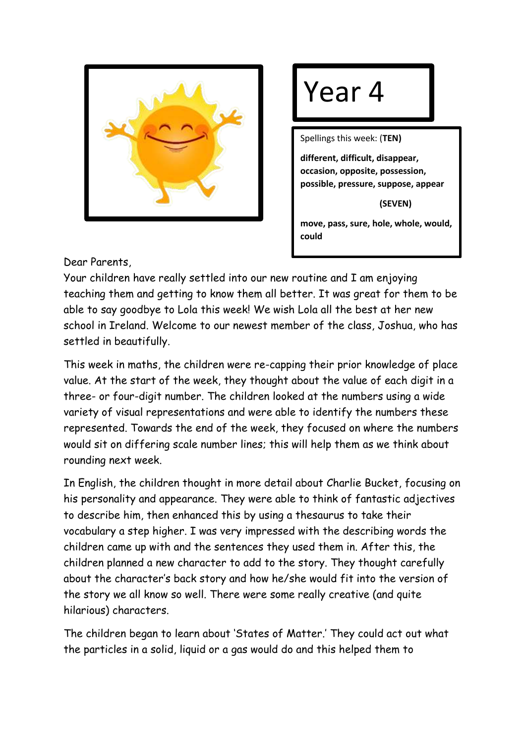

## Year 4

Spellings this week: (**TEN)**

**different, difficult, disappear, occasion, opposite, possession, possible, pressure, suppose, appear**

 **(SEVEN)**

**move, pass, sure, hole, whole, would, could**

Dear Parents,

Your children have really settled into our new routine and I am enjoying teaching them and getting to know them all better. It was great for them to be able to say goodbye to Lola this week! We wish Lola all the best at her new school in Ireland. Welcome to our newest member of the class, Joshua, who has settled in beautifully.

This week in maths, the children were re-capping their prior knowledge of place value. At the start of the week, they thought about the value of each digit in a three- or four-digit number. The children looked at the numbers using a wide variety of visual representations and were able to identify the numbers these represented. Towards the end of the week, they focused on where the numbers would sit on differing scale number lines; this will help them as we think about rounding next week.

In English, the children thought in more detail about Charlie Bucket, focusing on his personality and appearance. They were able to think of fantastic adjectives to describe him, then enhanced this by using a thesaurus to take their vocabulary a step higher. I was very impressed with the describing words the children came up with and the sentences they used them in. After this, the children planned a new character to add to the story. They thought carefully about the character's back story and how he/she would fit into the version of the story we all know so well. There were some really creative (and quite hilarious) characters.

The children began to learn about 'States of Matter.' They could act out what the particles in a solid, liquid or a gas would do and this helped them to